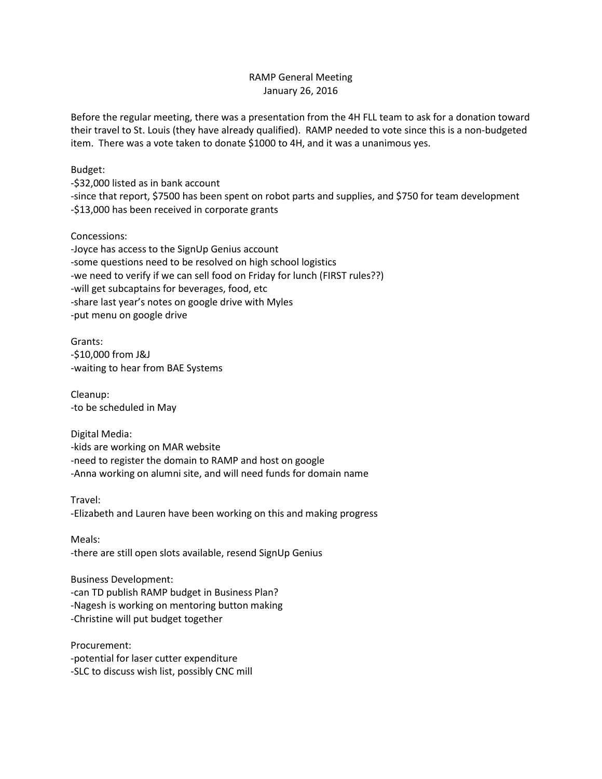## RAMP General Meeting January 26, 2016

Before the regular meeting, there was a presentation from the 4H FLL team to ask for a donation toward their travel to St. Louis (they have already qualified). RAMP needed to vote since this is a non-budgeted item. There was a vote taken to donate \$1000 to 4H, and it was a unanimous yes.

Budget:

-\$32,000 listed as in bank account

-since that report, \$7500 has been spent on robot parts and supplies, and \$750 for team development -\$13,000 has been received in corporate grants

## Concessions:

-Joyce has access to the SignUp Genius account -some questions need to be resolved on high school logistics -we need to verify if we can sell food on Friday for lunch (FIRST rules??) -will get subcaptains for beverages, food, etc -share last year's notes on google drive with Myles -put menu on google drive

Grants: -\$10,000 from J&J -waiting to hear from BAE Systems

Cleanup: -to be scheduled in May

Digital Media: -kids are working on MAR website -need to register the domain to RAMP and host on google -Anna working on alumni site, and will need funds for domain name

Travel: -Elizabeth and Lauren have been working on this and making progress

Meals: -there are still open slots available, resend SignUp Genius

Business Development: -can TD publish RAMP budget in Business Plan? -Nagesh is working on mentoring button making -Christine will put budget together

Procurement: -potential for laser cutter expenditure -SLC to discuss wish list, possibly CNC mill